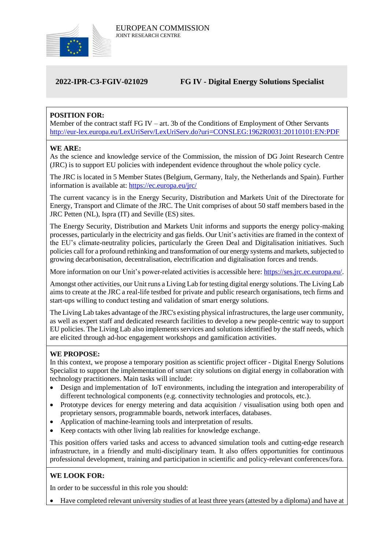

# **2022-IPR-C3-FGIV-021029 FG IV - Digital Energy Solutions Specialist**

# **POSITION FOR:**

Member of the contract staff FG IV – art. 3b of the Conditions of Employment of Other Servants <http://eur-lex.europa.eu/LexUriServ/LexUriServ.do?uri=CONSLEG:1962R0031:20110101:EN:PDF>

### **WE ARE:**

As the science and knowledge service of the Commission, the mission of DG Joint Research Centre (JRC) is to support EU policies with independent evidence throughout the whole policy cycle.

The JRC is located in 5 Member States (Belgium, Germany, Italy, the Netherlands and Spain). Further information is available at: <https://ec.europa.eu/jrc/>

The current vacancy is in the Energy Security, Distribution and Markets Unit of the Directorate for Energy, Transport and Climate of the JRC. The Unit comprises of about 50 staff members based in the JRC Petten (NL), Ispra (IT) and Seville (ES) sites.

The Energy Security, Distribution and Markets Unit informs and supports the energy policy-making processes, particularly in the electricity and gas fields. Our Unit's activities are framed in the context of the EU's climate-neutrality policies, particularly the Green Deal and Digitalisation initiatives. Such policies call for a profound rethinking and transformation of our energy systems and markets, subjected to growing decarbonisation, decentralisation, electrification and digitalisation forces and trends.

More information on our Unit's power-related activities is accessible here[: https://ses.jrc.ec.europa.eu/.](https://ses.jrc.ec.europa.eu/)

Amongst other activities, our Unit runs a Living Lab for testing digital energy solutions. The Living Lab aims to create at the JRC a real-life testbed for private and public research organisations, tech firms and start-ups willing to conduct testing and validation of smart energy solutions.

The Living Lab takes advantage of the JRC's existing physical infrastructures, the large user community, as well as expert staff and dedicated research facilities to develop a new people-centric way to support EU policies. The Living Lab also implements services and solutions identified by the staff needs, which are elicited through ad-hoc engagement workshops and gamification activities.

## **WE PROPOSE:**

In this context, we propose a temporary position as scientific project officer - Digital Energy Solutions Specialist to support the implementation of smart city solutions on digital energy in collaboration with technology practitioners. Main tasks will include:

- Design and implementation of IoT environments, including the integration and interoperability of different technological components (e.g. connectivity technologies and protocols, etc.).
- Prototype devices for energy metering and data acquisition / visualisation using both open and proprietary sensors, programmable boards, network interfaces, databases.
- Application of machine-learning tools and interpretation of results.
- Keep contacts with other living lab realities for knowledge exchange.

This position offers varied tasks and access to advanced simulation tools and cutting-edge research infrastructure, in a friendly and multi-disciplinary team. It also offers opportunities for continuous professional development, training and participation in scientific and policy-relevant conferences/fora.

## **WE LOOK FOR:**

In order to be successful in this role you should:

Have completed relevant university studies of at least three years (attested by a diploma) and have at